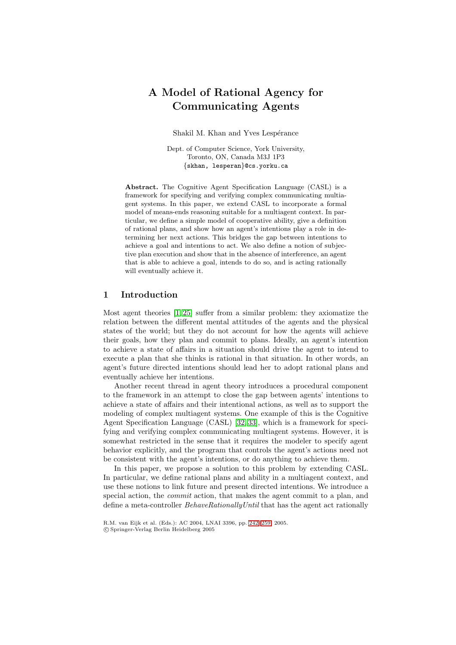# **A Model of Rational Agency for Communicating Agents**

Shakil M. Khan and Yves Lespérance

Dept. of Computer Science, York University, Toronto, ON, Canada M3J 1P3 {skhan, lesperan}@cs.yorku.ca

**Abstract.** The Cognitive Agent Specification Language (CASL) is a framework for specifying and verifying complex communicating multiagent systems. In this paper, we extend CASL to incorporate a formal model of means-ends reasoning suitable for a multiagent context. In particular, we define a simple model of cooperative ability, give a definition of rational plans, and show how an agent's intentions play a role in determining her next actions. This bridges the gap between intentions to achieve a goal and intentions to act. We also define a notion of subjective plan execution and show that in the absence of interference, an agent that is able to achieve a goal, intends to do so, and is acting rationally will eventually achieve it.

## **1 Introduction**

Most agent theories [\[1,](#page-16-0) [25\]](#page-17-0) suffer from a similar problem: they axiomatize the relation between the different mental attitudes of the agents and the physical states of the world; but they do not account for how the agents will achieve their goals, how they plan and commit to plans. Ideally, an agent's intention to achieve a state of affairs in a situation should drive the agent to intend to execute a plan that she thinks is rational in that situation. In other words, an agent's future directed intentions should lead her to adopt rational plans and eventually achieve her intentions.

Another recent thread in agent theory introduces a procedural component to the framework in an attempt to close the gap between agents' intentions to achieve a state of affairs and their intentional actions, as well as to support the modeling of complex multiagent systems. One example of this is the Cognitive Agent Specification Language (CASL) [\[32, 33\]](#page-17-0), which is a framework for specifying and verifying complex communicating multiagent systems. However, it is somewhat restricted in the sense that it requires the modeler to specify agent behavior explicitly, and the program that controls the agent's actions need not be consistent with the agent's intentions, or do anything to achieve them.

In this paper, we propose a solution to this problem by extending CASL. In particular, we define rational plans and ability in a multiagent context, and use these notions to link future and present directed intentions. We introduce a special action, the *commit* action, that makes the agent commit to a plan, and define a meta-controller *BehaveRationallyUntil* that has the agent act rationally

R.M. van Eijk et al. (Eds.): AC 2004, LNAI 3396, pp. 242[–259,](#page-17-0) 2005. c Springer-Verlag Berlin Heidelberg 2005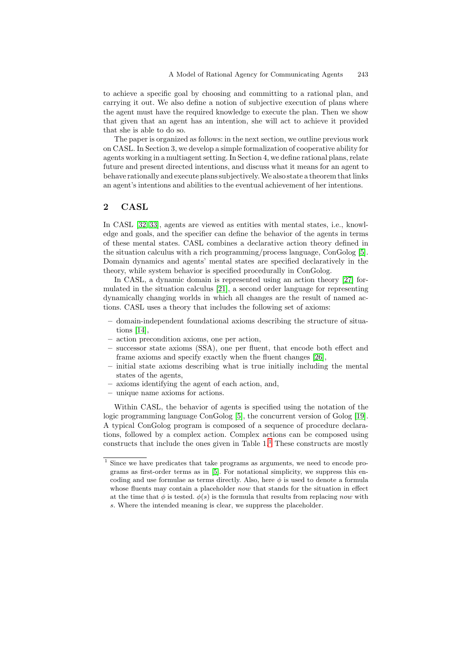to achieve a specific goal by choosing and committing to a rational plan, and carrying it out. We also define a notion of subjective execution of plans where the agent must have the required knowledge to execute the plan. Then we show that given that an agent has an intention, she will act to achieve it provided that she is able to do so.

The paper is organized as follows: in the next section, we outline previous work on CASL. In Section 3, we develop a simple formalization of cooperative ability for agents working in a multiagent setting. In Section 4, we define rational plans, relate future and present directed intentions, and discuss what it means for an agent to behave rationally and execute plans subjectively.We also state a theorem that links an agent's intentions and abilities to the eventual achievement of her intentions.

## **2 CASL**

In CASL [\[32, 33\]](#page-17-0), agents are viewed as entities with mental states, i.e., knowledge and goals, and the specifier can define the behavior of the agents in terms of these mental states. CASL combines a declarative action theory defined in the situation calculus with a rich programming/process language, ConGolog [\[5\]](#page-16-0). Domain dynamics and agents' mental states are specified declaratively in the theory, while system behavior is specified procedurally in ConGolog.

In CASL, a dynamic domain is represented using an action theory [\[27\]](#page-17-0) formulated in the situation calculus [\[21\]](#page-17-0), a second order language for representing dynamically changing worlds in which all changes are the result of named actions. CASL uses a theory that includes the following set of axioms:

- **–** domain-independent foundational axioms describing the structure of situations [\[14\]](#page-16-0),
- **–** action precondition axioms, one per action,
- **–** successor state axioms (SSA), one per fluent, that encode both effect and frame axioms and specify exactly when the fluent changes [\[26\]](#page-17-0),
- **–** initial state axioms describing what is true initially including the mental states of the agents,
- **–** axioms identifying the agent of each action, and,
- **–** unique name axioms for actions.

Within CASL, the behavior of agents is specified using the notation of the logic programming language ConGolog [\[5\]](#page-16-0), the concurrent version of Golog [\[19\]](#page-17-0). A typical ConGolog program is composed of a sequence of procedure declarations, followed by a complex action. Complex actions can be composed using constructs that include the ones given in Table  $1<sup>1</sup>$ . These constructs are mostly

 $1$  Since we have predicates that take programs as arguments, we need to encode programs as first-order terms as in [\[5\]](#page-16-0). For notational simplicity, we suppress this encoding and use formulae as terms directly. Also, here  $\phi$  is used to denote a formula whose fluents may contain a placeholder now that stands for the situation in effect at the time that  $\phi$  is tested.  $\phi(s)$  is the formula that results from replacing now with s. Where the intended meaning is clear, we suppress the placeholder.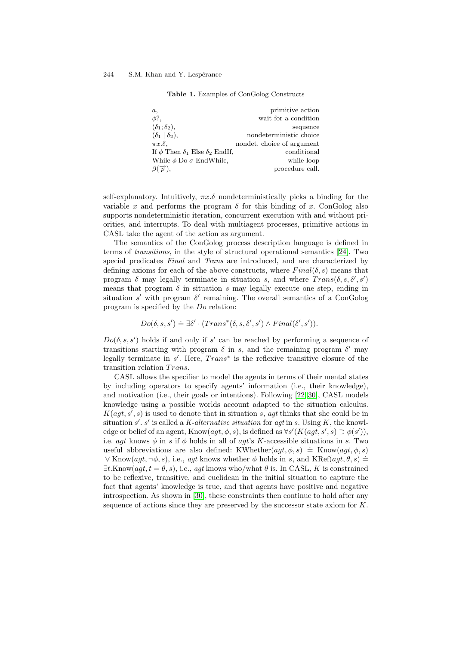| a,                                               | primitive action           |
|--------------------------------------------------|----------------------------|
| $\phi$ ?,                                        | wait for a condition       |
| $(\delta_1;\delta_2),$                           | sequence                   |
| $(\delta_1   \delta_2),$                         | nondeterministic choice    |
| $\pi x.\delta$ .                                 | nondet. choice of argument |
| If $\phi$ Then $\delta_1$ Else $\delta_2$ EndIf, | conditional                |
| While $\phi$ Do $\sigma$ EndWhile,               | while loop                 |
| $\beta(\overrightarrow{p}),$                     | procedure call.            |
|                                                  |                            |

#### **Table 1.** Examples of ConGolog Constructs

self-explanatory. Intuitively,  $\pi x.\delta$  nondeterministically picks a binding for the variable x and performs the program  $\delta$  for this binding of x. ConGolog also supports nondeterministic iteration, concurrent execution with and without priorities, and interrupts. To deal with multiagent processes, primitive actions in CASL take the agent of the action as argument.

The semantics of the ConGolog process description language is defined in terms of *transitions*, in the style of structural operational semantics [\[24\]](#page-17-0). Two special predicates *Final* and *Trans* are introduced, and are characterized by defining axioms for each of the above constructs, where  $Final(\delta, s)$  means that program  $\delta$  may legally terminate in situation *s*, and where  $Trans(\delta, s, \delta', s')$ means that program  $\delta$  in situation  $s$  may legally execute one step, ending in situation *s*<sup> $\prime$ </sup> with program  $\delta$ <sup> $\prime$ </sup> remaining. The overall semantics of a ConGolog program is specified by the *Do* relation:

$$
Do(\delta, s, s') \doteq \exists \delta' \cdot (Trans^*(\delta, s, \delta', s') \wedge Final(\delta', s')).
$$

 $Do(\delta, s, s')$  holds if and only if *s'* can be reached by performing a sequence of transitions starting with program  $\delta$  in *s*, and the remaining program  $\delta'$  may legally terminate in *s'*. Here,  $Trans<sup>*</sup>$  is the reflexive transitive closure of the transition relation *Trans*.

CASL allows the specifier to model the agents in terms of their mental states by including operators to specify agents' information (i.e., their knowledge), and motivation (i.e., their goals or intentions). Following [\[22, 30\]](#page-17-0), CASL models knowledge using a possible worlds account adapted to the situation calculus.  $K(agt, s', s)$  is used to denote that in situation *s*, *agt* thinks that she could be in situation  $s'$ .  $s'$  is called a *K-alternative situation* for  $agt$  in  $s$ . Using  $K$ , the knowledge or belief of an agent, Know( $agt, \phi, s$ ), is defined as  $\forall s' (K (agt, s', s) \supset \phi(s'))$ , i.e. *agt* knows *φ* in *s* if *φ* holds in all of *agt*'s *K*-accessible situations in *s*. Two useful abbreviations are also defined: KWhether(*agt, φ, s*)  $\dot{=}$  Know(*agt, φ, s*)  $∨$  Know(*agt*,  $¬φ$ , *s*), i.e., *agt* knows whether *φ* holds in *s*, and KRef(*agt*, *θ*, *s*)  $=$  $\exists t$ .Know(*agt, t* =  $\theta$ , *s*), i.e., *agt* knows who/what  $\theta$  is. In CASL, *K* is constrained to be reflexive, transitive, and euclidean in the initial situation to capture the fact that agents' knowledge is true, and that agents have positive and negative introspection. As shown in [\[30\]](#page-17-0), these constraints then continue to hold after any sequence of actions since they are preserved by the successor state axiom for *K*.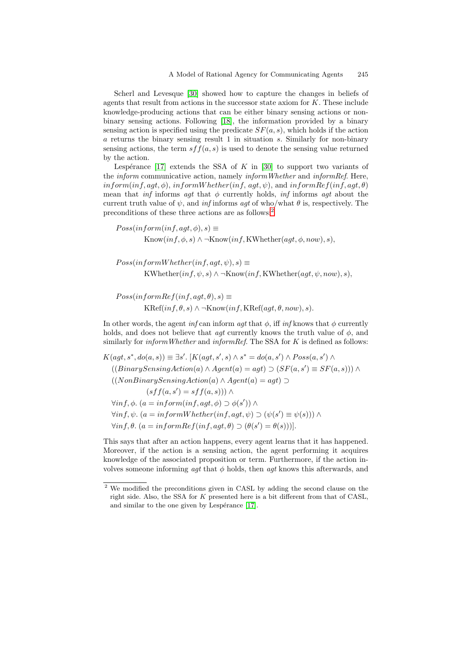Scherl and Levesque [\[30\]](#page-17-0) showed how to capture the changes in beliefs of agents that result from actions in the successor state axiom for *K*. These include knowledge-producing actions that can be either binary sensing actions or nonbinary sensing actions. Following [\[18\]](#page-17-0), the information provided by a binary sensing action is specified using the predicate  $SF(a, s)$ , which holds if the action *a* returns the binary sensing result 1 in situation *s*. Similarly for non-binary sensing actions, the term  $sff(a, s)$  is used to denote the sensing value returned by the action.

Lespérance  $[17]$  extends the SSA of *K* in  $[30]$  to support two variants of the *inform* communicative action, namely *informWhether* and *informRef*. Here,  $\hat{a}$  *inform*( $\hat{i}$ *nf, agt,*  $\phi$ *), informW hether*( $\hat{i}$ *nf, agt,*  $\psi$ *), and*  $\hat{i}$  *<i>informRef*( $\hat{i}$ *nf, agt,*  $\theta$ *)* mean that *inf* informs *agt* that  $\phi$  currently holds, *inf* informs *agt* about the current truth value of  $\psi$ , and *inf* informs *agt* of who/what  $\theta$  is, respectively. The preconditions of these three actions are as follows:<sup>2</sup>

 $Poss(inform(inf,agt, \phi), s) \equiv$  $\text{Know}(inf, \phi, s) \land \neg \text{Know}(inf, \text{KWhether}(agt, \phi, now), s),$ 

 $Poss(informWhether(inf, aqt, \psi), s) \equiv$ 

KWhether $(inf, \psi, s) \wedge \neg \text{Know}(inf, \text{KWhether}(agt, \psi, now), s)$ 

 $Poss(informRef(inf, agt, \theta), s) \equiv$  $KRef(inf, \theta, s) \wedge \neg Know(inf, KRef(aqt, \theta, now), s).$ 

In other words, the agent *inf* can inform *agt* that  $\phi$ , iff *inf* knows that  $\phi$  currently holds, and does not believe that *agt* currently knows the truth value of  $\phi$ , and similarly for *informWhether* and *informRef*. The SSA for *K* is defined as follows:

 $K(agt, s^*, do(a, s)) \equiv \exists s'. [K(agt, s', s) \land s^* = do(a, s') \land Poss(a, s') \land s^* = do(a, s')$  $((BinarySensingAction(a) ∧ Agent(a) = agt) ⊃ (SF(a, s') ≡ SF(a, s))) ∧$ ((*NonBinarySensingAction*(*a*) ∧ *Agent*(*a*) = *agt*) ⊃  $(sff(a, s') = sff(a, s))) \wedge$  $\forall inf, \phi \text{. } (a = inform(inf,agt, \phi) \supset \phi(s')) \land$  $\forall inf, \psi \ldotp (a = informWhether(inf,agt, \psi) \supset (\psi(s') \equiv \psi(s))) \wedge$  $\forall inf, \theta \text{. } (a = informRef(inf,agt, \theta) \supset (\theta(s') = \theta(s)))].$ 

This says that after an action happens, every agent learns that it has happened. Moreover, if the action is a sensing action, the agent performing it acquires knowledge of the associated proposition or term. Furthermore, if the action involves someone informing *agt* that *φ* holds, then *agt* knows this afterwards, and

<sup>&</sup>lt;sup>2</sup> We modified the preconditions given in CASL by adding the second clause on the right side. Also, the SSA for K presented here is a bit different from that of CASL, and similar to the one given by Lespérance  $[17]$ .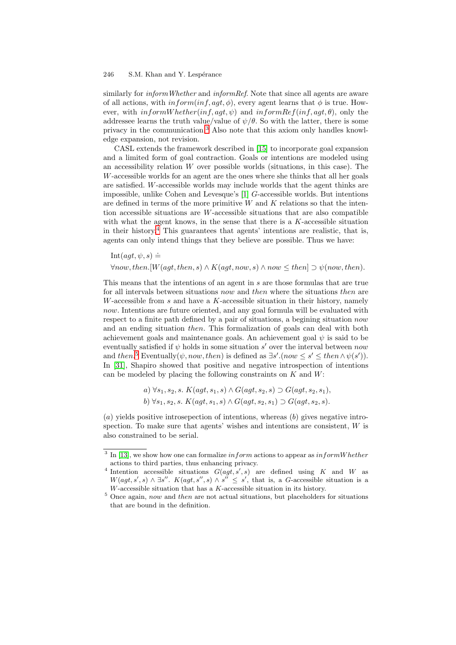similarly for *informWhether* and *informRef*. Note that since all agents are aware of all actions, with  $\inf \text{form}(\inf, \text{agt}, \phi)$ , every agent learns that  $\phi$  is true. However, with *informW hether*(*inf, agt, ψ*) and *informRef*(*inf, agt, θ*), only the addressee learns the truth value/value of  $\psi/\theta$ . So with the latter, there is some privacy in the communication.<sup>3</sup> Also note that this axiom only handles knowledge expansion, not revision.

CASL extends the framework described in [\[15\]](#page-16-0) to incorporate goal expansion and a limited form of goal contraction. Goals or intentions are modeled using an accessibility relation *W* over possible worlds (situations, in this case). The *W*-accessible worlds for an agent are the ones where she thinks that all her goals are satisfied. *W*-accessible worlds may include worlds that the agent thinks are impossible, unlike Cohen and Levesque's [\[1\]](#page-16-0) *G*-accessible worlds. But intentions are defined in terms of the more primitive *W* and *K* relations so that the intention accessible situations are *W*-accessible situations that are also compatible with what the agent knows, in the sense that there is a *K*-accessible situation in their history.<sup>4</sup> This guarantees that agents' intentions are realistic, that is, agents can only intend things that they believe are possible. Thus we have:

 $Int(agt, \psi, s) \doteq$ ∀*now, then.*[*W*(*agt, then, s*) ∧ *K*(*agt, now, s*) ∧ *now* ≤ *then*] ⊃ *ψ*(*now, then*)*.*

This means that the intentions of an agent in *s* are those formulas that are true for all intervals between situations *now* and *then* where the situations *then* are *W*-accessible from *s* and have a *K*-accessible situation in their history, namely *now*. Intentions are future oriented, and any goal formula will be evaluated with respect to a finite path defined by a pair of situations, a begining situation *now* and an ending situation *then*. This formalization of goals can deal with both achievement goals and maintenance goals. An achievement goal  $\psi$  is said to be eventually satisfied if  $\psi$  holds in some situation  $s'$  over the interval between *now* and *then*.<sup>5</sup> Eventually( $\psi$ , *now*, *then*) is defined as  $\exists s'.(now \le s' \le then \land \psi(s'))$ . In [\[31\]](#page-17-0), Shapiro showed that positive and negative introspection of intentions can be modeled by placing the following constraints on *K* and *W*:

a) 
$$
\forall s_1, s_2, s. K(agt, s_1, s) \land G(agt, s_2, s) \supset G(agt, s_2, s_1),
$$
  
b)  $\forall s_1, s_2, s. K(agt, s_1, s) \land G(agt, s_2, s_1) \supset G(agt, s_2, s).$ 

(*a*) yields positive introsepection of intentions, whereas (*b*) gives negative introspection. To make sure that agents' wishes and intentions are consistent, *W* is also constrained to be serial.

 $3$  In [\[13\]](#page-16-0), we show how one can formalize  $inform$  actions to appear as  $informWhether$ actions to third parties, thus enhancing privacy.

<sup>&</sup>lt;sup>4</sup> Intention accessible situations  $G(agt, s', s)$  are defined using K and W as<br> $W(at, s') \triangleq \frac{S}{a'}$   $K(at, s' \triangleq \triangleq s'$  and  $S$  accessible situation is a  $W(agt, s', s) \wedge \exists s''. K(agt, s'', s) \wedge s'' \leq s',$  that is, a G-accessible situation is a W accessible situation that has a K accessible situation in its history.

 $W$ -accessible situation that has a K-accessible situation in its history.<br><sup>5</sup> Once again, *now* and *then* are not actual situations, but placeholders for situations that are bound in the definition.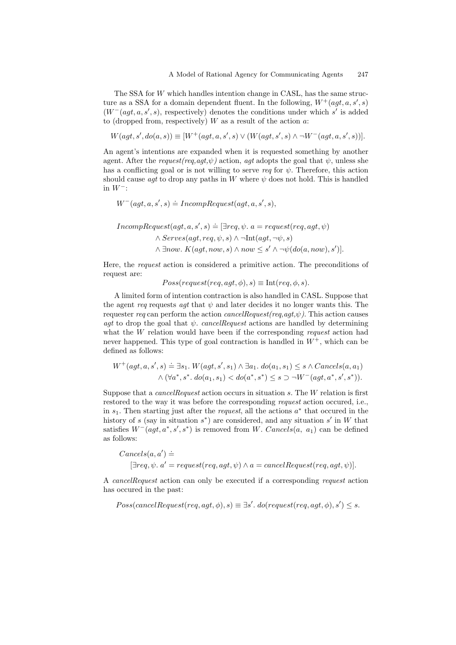The SSA for *W* which handles intention change in CASL, has the same structure as a SSA for a domain dependent fluent. In the following,  $W^+(agt, a, s', s)$  $(W^-(agt, a, s', s))$ , respectively) denotes the conditions under which *s*<sup>'</sup> is added to (dropped from, respectively) *W* as a result of the action *a*:

 $W(agt, s', do(a, s)) \equiv [W^+(agt, a, s', s) \vee (W(agt, s', s) \wedge \neg W^-(agt, a, s', s))].$ 

An agent's intentions are expanded when it is requested something by another agent. After the *request(req,agt,* $\psi$ ) action, *agt* adopts the goal that  $\psi$ , unless she has a conflicting goal or is not willing to serve *req* for  $\psi$ . Therefore, this action should cause *agt* to drop any paths in *W* where  $\psi$  does not hold. This is handled in *W*−:

$$
W^-(agt, a, s', s) \doteq IncompRequest(agt, a, s', s),
$$

$$
IncompRequest(agt, a, s', s) \doteq [\exists req, \psi \ldotp a = request (req,agt, \psi) \land Serves(agt, req, \psi, s) \land \neg Int(agt, \neg \psi, s) \land \neg Inow. K(agt, now, s) \land now \leq s' \land \neg \psi(do(a, now), s')].
$$

Here, the *request* action is considered a primitive action. The preconditions of request are:

 $Poss(request(req, agt, \phi), s) \equiv Int(req, \phi, s).$ 

A limited form of intention contraction is also handled in CASL. Suppose that the agent *req* requests *agt* that  $\psi$  and later decides it no longer wants this. The requester *req* can perform the action *cancelRequest(req,agt,ψ)*. This action causes *agt* to drop the goal that  $\psi$ . *cancelRequest* actions are handled by determining what the *W* relation would have been if the corresponding *request* action had never happened. This type of goal contraction is handled in *W*<sup>+</sup>, which can be defined as follows:

$$
W^+(agt, a, s', s) \doteq \exists s_1. W(agt, s', s_1) \land \exists a_1. do(a_1, s_1) \le s \land Cancels(a, a_1)
$$

$$
\land (\forall a^*, s^*. do(a_1, s_1) < do(a^*, s^*) \le s \supset \neg W^-(agt, a^*, s', s^*)).
$$

Suppose that a *cancelRequest* action occurs in situation *s*. The *W* relation is first restored to the way it was before the corresponding *request* action occured, i.e., in *s*1. Then starting just after the *request*, all the actions *a*<sup>∗</sup> that occured in the history of *s* (say in situation  $s^*$ ) are considered, and any situation  $s'$  in W that satisfies  $W^-(agt, a^*, s', s^*)$  is removed from *W*. *Cancels*(*a*, *a*<sub>1</sub>) can be defined as follows:

$$
Cancels(a, a') \doteq
$$
  
[ $\exists req, \psi, a' = request(req,agt, \psi) \land a = cancelRequest(req,agt, \psi)$ ].

A *cancelRequest* action can only be executed if a corresponding *request* action has occured in the past:

 $Poss(cancelRequest(req,agt, \phi), s) \equiv \exists s'.\ do(request(req,agt, \phi), s') \leq s.$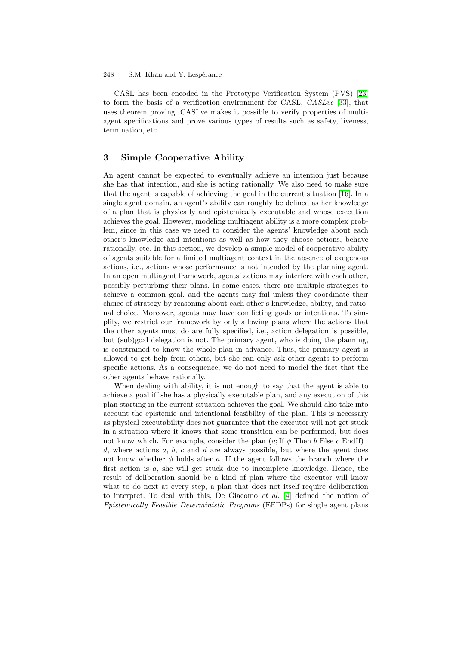CASL has been encoded in the Prototype Verification System (PVS) [\[23\]](#page-17-0) to form the basis of a verification environment for CASL, *CASLve* [\[33\]](#page-17-0), that uses theorem proving. CASLve makes it possible to verify properties of multiagent specifications and prove various types of results such as safety, liveness, termination, etc.

## **3 Simple Cooperative Ability**

An agent cannot be expected to eventually achieve an intention just because she has that intention, and she is acting rationally. We also need to make sure that the agent is capable of achieving the goal in the current situation [\[16\]](#page-16-0). In a single agent domain, an agent's ability can roughly be defined as her knowledge of a plan that is physically and epistemically executable and whose execution achieves the goal. However, modeling multiagent ability is a more complex problem, since in this case we need to consider the agents' knowledge about each other's knowledge and intentions as well as how they choose actions, behave rationally, etc. In this section, we develop a simple model of cooperative ability of agents suitable for a limited multiagent context in the absence of exogenous actions, i.e., actions whose performance is not intended by the planning agent. In an open multiagent framework, agents' actions may interfere with each other, possibly perturbing their plans. In some cases, there are multiple strategies to achieve a common goal, and the agents may fail unless they coordinate their choice of strategy by reasoning about each other's knowledge, ability, and rational choice. Moreover, agents may have conflicting goals or intentions. To simplify, we restrict our framework by only allowing plans where the actions that the other agents must do are fully specified, i.e., action delegation is possible, but (sub)goal delegation is not. The primary agent, who is doing the planning, is constrained to know the whole plan in advance. Thus, the primary agent is allowed to get help from others, but she can only ask other agents to perform specific actions. As a consequence, we do not need to model the fact that the other agents behave rationally.

When dealing with ability, it is not enough to say that the agent is able to achieve a goal iff she has a physically executable plan, and any execution of this plan starting in the current situation achieves the goal. We should also take into account the epistemic and intentional feasibility of the plan. This is necessary as physical executability does not guarantee that the executor will not get stuck in a situation where it knows that some transition can be performed, but does not know which. For example, consider the plan  $(a; \text{If } \phi \text{ Then } b \text{ Else } c \text{ Endif})$ *d*, where actions *a*, *b*, *c* and *d* are always possible, but where the agent does not know whether  $\phi$  holds after *a*. If the agent follows the branch where the first action is *a*, she will get stuck due to incomplete knowledge. Hence, the result of deliberation should be a kind of plan where the executor will know what to do next at every step, a plan that does not itself require deliberation to interpret. To deal with this, De Giacomo *et al.* [\[4\]](#page-16-0) defined the notion of *Epistemically Feasible Deterministic Programs* (EFDPs) for single agent plans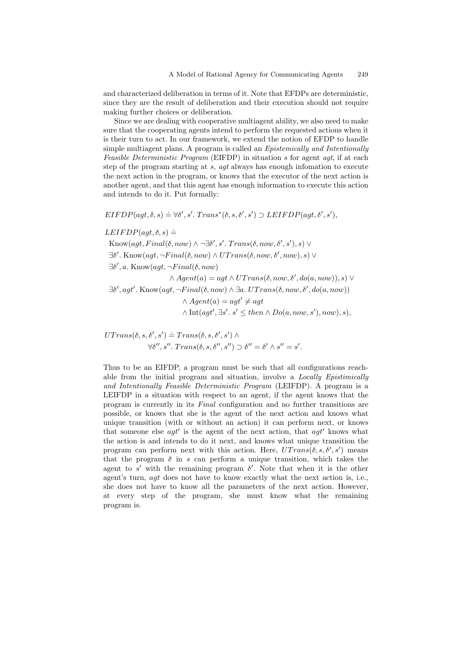and characterized deliberation in terms of it. Note that EFDPs are deterministic, since they are the result of deliberation and their execution should not require making further choices or deliberation.

Since we are dealing with cooperative multiagent ability, we also need to make sure that the cooperating agents intend to perform the requested actions when it is their turn to act. In our framework, we extend the notion of EFDP to handle simple multiagent plans. A program is called an *Epistemically and Intentionally Feasible Deterministic Program* (EIFDP) in situation *s* for agent *agt*, if at each step of the program starting at *s*, *agt* always has enough infomation to execute the next action in the program, or knows that the executor of the next action is another agent, and that this agent has enough information to execute this action and intends to do it. Put formally:

 $EIFDP(agt, \delta, s) \doteq \forall \delta', s'. Trans^*(\delta, s, \delta', s') \supset LEIFDP(agt, \delta', s'),$ 

 $LEIFDP(agt, \delta, s) \doteq$ 

 $\text{Know}(agt, Final(\delta, now) \land \neg \exists \delta', s'. \, Trans(\delta, now, \delta', s'), s) \lor$  $\exists \delta'.$  Know $(agt, \neg Final(\delta, now) \land UTrans(\delta, now, \delta', now), s) \lor$  $\exists \delta', a$ . Know $(agt, \neg Final(\delta, now))$  $\land$   $Agent(a) = agt \land UTrans(\delta, now, \delta', do(a, now)), s) \lor$  $\exists \delta', agt'. \text{ Know}(agt, \neg Final(\delta, now) \land \exists a. \text{ UTrans}(\delta, now, \delta', do(a, now))$  $∧$  *Agent*(*a*) = *agt*<sup> $t$ </sup> ≠ *agt*  $\land$  Int(*agt'*,  $\exists s'$ *.*  $s' \leq$  *then*  $\land$  *Do*(*a, now, s'*)*, now*)*, s*)*,* 

 $UTrans(\delta, s, \delta', s') \doteq Trans(\delta, s, \delta', s') \wedge$  $\forall \delta'', s''.\; Trans(\delta, s, \delta'', s'') \supset \delta'' = \delta' \wedge s'' = s'.$ 

Thus to be an EIFDP, a program must be such that all configurations reachable from the initial program and situation, involve a *Locally Epistimically and Intentionally Feasible Deterministic Program* (LEIFDP). A program is a LEIFDP in a situation with respect to an agent, if the agent knows that the program is currently in its *Final* configuration and no further transitions are possible, or knows that she is the agent of the next action and knows what unique transition (with or without an action) it can perform next, or knows that someone else  $agt'$  is the agent of the next action, that  $agt'$  knows what the action is and intends to do it next, and knows what unique transition the program can perform next with this action. Here,  $UTrans(\delta, s, \delta', s')$  means that the program  $\delta$  in  $s$  can perform a unique transition, which takes the agent to s' with the remaining program  $\delta'$ . Note that when it is the other agent's turn, *agt* does not have to know exactly what the next action is, i.e., she does not have to know all the parameters of the next action. However, at every step of the program, she must know what the remaining program is.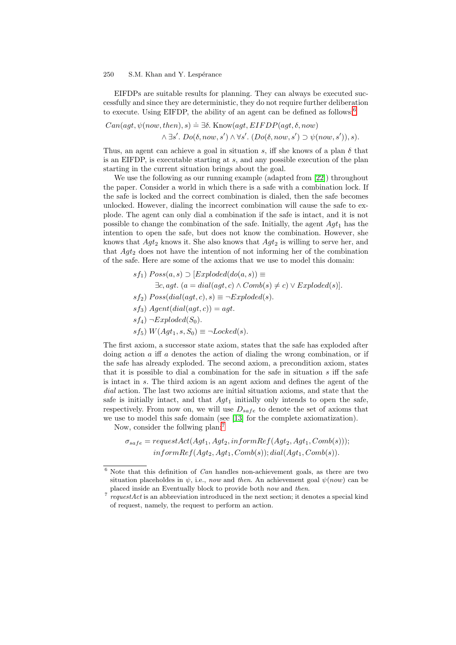EIFDPs are suitable results for planning. They can always be executed successfully and since they are deterministic, they do not require further deliberation to execute. Using EIFDP, the ability of an agent can be defined as follows:<sup>6</sup>

$$
Can(agt, \psi(now, then), s) \doteq \exists \delta. \text{ Know}(agt, EIFDP(agt, \delta, now) \land \exists s'. Do(\delta, now, s') \land \forall s'. (Do(\delta, now, s') \supset \psi(now, s')), s).
$$

Thus, an agent can achieve a goal in situation *s*, iff she knows of a plan  $\delta$  that is an EIFDP, is executable starting at *s*, and any possible execution of the plan starting in the current situation brings about the goal.

We use the following as our running example (adapted from [\[22\]](#page-17-0)) throughout the paper. Consider a world in which there is a safe with a combination lock. If the safe is locked and the correct combination is dialed, then the safe becomes unlocked. However, dialing the incorrect combination will cause the safe to explode. The agent can only dial a combination if the safe is intact, and it is not possible to change the combination of the safe. Initially, the agent  $Aqt_1$  has the intention to open the safe, but does not know the combination. However, she knows that  $Agt_2$  knows it. She also knows that  $Agt_2$  is willing to serve her, and that *Agt*<sup>2</sup> does not have the intention of not informing her of the combination of the safe. Here are some of the axioms that we use to model this domain:

$$
sf_1) Poss(a, s) \supset [Exploaded(do(a, s))] \equiv
$$
  
\n
$$
\exists c, agt. (a = dial(agt, c) \land Comb(s) \neq c) \lor Exploaded(s)].
$$
  
\n
$$
sf_2) Poss(dial(agt, c), s) \equiv \neg Exploaded(s).
$$
  
\n
$$
sf_3) Agent(dial(agt, c)) = agt.
$$
  
\n
$$
sf_4) \neg Exploaded(S_0).
$$

 $sf_5$ )  $W(Agt_1, s, S_0) \equiv \neg Locked(s)$ .

The first axiom, a successor state axiom, states that the safe has exploded after doing action *a* iff *a* denotes the action of dialing the wrong combination, or if the safe has already exploded. The second axiom, a precondition axiom, states that it is possible to dial a combination for the safe in situation *s* iff the safe is intact in *s*. The third axiom is an agent axiom and defines the agent of the *dial* action. The last two axioms are initial situation axioms, and state that the safe is initially intact, and that  $Agt_1$  initially only intends to open the safe, respectively. From now on, we will use  $D_{safe}$  to denote the set of axioms that we use to model this safe domain (see [\[13\]](#page-16-0) for the complete axiomatization).

Now, consider the follwing plan:<sup>7</sup>

$$
\sigma_{safe} = requestAct(Agt_1, Agt_2, informRef(Agt_2, Agt_1, Comb(s)));
$$
  

$$
informRef(Agt_2, Agt_1, Comb(s)); dial(Agt_1, Comb(s)).
$$

 $6$  Note that this definition of *Can* handles non-achievement goals, as there are two situation placeholdes in  $\psi$ , i.e., now and then. An achievement goal  $\psi(now)$  can be placed inside an Eventually block to provide both now and then.

 $\frac{7}{1}$  requestAct is an abbreviation introduced in the next section; it denotes a special kind of request, namely, the request to perform an action.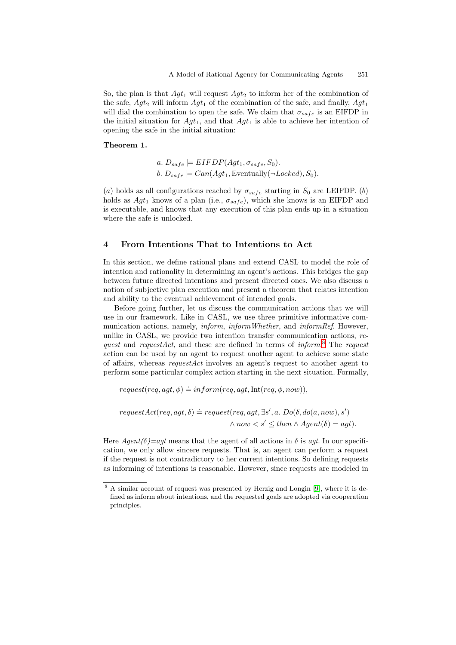So, the plan is that  $Agt_1$  will request  $Agt_2$  to inform her of the combination of the safe,  $Agt_2$  will inform  $Agt_1$  of the combination of the safe, and finally,  $Agt_1$ will dial the combination to open the safe. We claim that  $\sigma_{safe}$  is an EIFDP in the initial situation for  $Agt_1$ , and that  $Agt_1$  is able to achieve her intention of opening the safe in the initial situation:

### **Theorem 1.**

a. 
$$
D_{safe} \models EIFDP(Agt_1, \sigma_{safe}, S_0)
$$
.  
b.  $D_{safe} \models Can(Agt_1, Eventually(\neg Locked), S_0)$ .

(*a*) holds as all configurations reached by  $\sigma_{safe}$  starting in  $S_0$  are LEIFDP. (*b*) holds as  $Agt_1$  knows of a plan (i.e.,  $\sigma_{safe}$ ), which she knows is an EIFDP and is executable, and knows that any execution of this plan ends up in a situation where the safe is unlocked.

## **4 From Intentions That to Intentions to Act**

In this section, we define rational plans and extend CASL to model the role of intention and rationality in determining an agent's actions. This bridges the gap between future directed intentions and present directed ones. We also discuss a notion of subjective plan execution and present a theorem that relates intention and ability to the eventual achievement of intended goals.

Before going further, let us discuss the communication actions that we will use in our framework. Like in CASL, we use three primitive informative communication actions, namely, *inform*, *informWhether*, and *informRef*. However, unlike in CASL, we provide two intention transfer communication actions, *request* and *requestAct*, and these are defined in terms of *inform*. <sup>8</sup> The *request* action can be used by an agent to request another agent to achieve some state of affairs, whereas *requestAct* involves an agent's request to another agent to perform some particular complex action starting in the next situation. Formally,

 $request(req,agt, \phi) \doteq inform(req,agt,Int(req, \phi, now)),$ 

 $requestAct(req,agt, \delta) \doteq request(req,agt, \exists s', a. \; Do(\delta, do(a, now), s')$  $\land now < s' \leq then \land Agent(\delta) = agt$ ).

Here  $Agent(\delta) = agt$  means that the agent of all actions in  $\delta$  is *agt*. In our specification, we only allow sincere requests. That is, an agent can perform a request if the request is not contradictory to her current intentions. So defining requests as informing of intentions is reasonable. However, since requests are modeled in

<sup>8</sup> A similar account of request was presented by Herzig and Longin [\[9\]](#page-16-0), where it is defined as inform about intentions, and the requested goals are adopted via cooperation principles.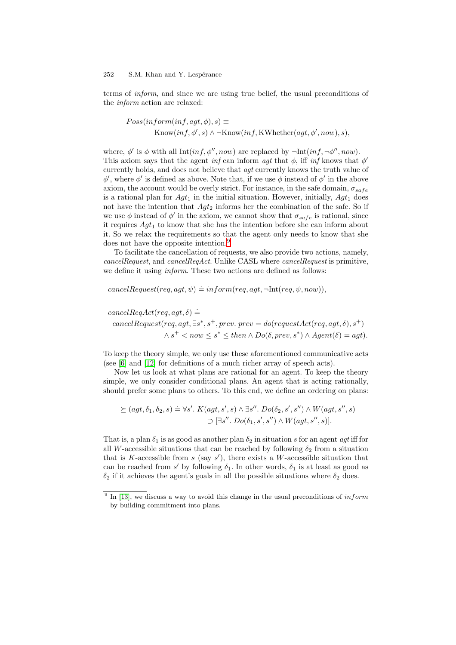terms of *inform*, and since we are using true belief, the usual preconditions of the *inform* action are relaxed:

 $Poss(inform(inf, aqt, \phi), s) \equiv$  $\text{Know}(inf, \phi', s) \land \neg \text{Know}(inf, \text{KW} \text{heter}(agt, \phi', now), s),$ 

where,  $\phi'$  is  $\phi$  with all  $Int(inf, \phi'', now)$  are replaced by  $\neg Int(inf, \neg \phi'', now)$ . This axiom says that the agent *inf* can inform *agt* that  $\phi$ , iff *inf* knows that  $\phi'$ currently holds, and does not believe that *agt* currently knows the truth value of  $\phi'$ , where  $\phi'$  is defined as above. Note that, if we use  $\phi$  instead of  $\phi'$  in the above axiom, the account would be overly strict. For instance, in the safe domain,  $\sigma_{safe}$ is a rational plan for  $Agt_1$  in the initial situation. However, initially,  $Agt_1$  does not have the intention that  $Agt_2$  informs her the combination of the safe. So if we use  $\phi$  instead of  $\phi'$  in the axiom, we cannot show that  $\sigma_{safe}$  is rational, since it requires *Agt*<sup>1</sup> to know that she has the intention before she can inform about it. So we relax the requirements so that the agent only needs to know that she does not have the opposite intention.<sup>9</sup>

To facilitate the cancellation of requests, we also provide two actions, namely, *cancelRequest*, and *cancelReqAct*. Unlike CASL where *cancelRequest* is primitive, we define it using *inform*. These two actions are defined as follows:

 $cancel{Request(req,agt, \psi) \doteq inform(req,agt, \neg Int(req, \psi, now)}$ 

 $cancel{ReqAct}(req,agt, \delta) \doteq$ 

 $cancel{Request}(req, qgt, \exists s^*, s^+, prev, prev = do(requestAct(req, qgt, \delta), s^+)$ <sup>∧</sup> *<sup>s</sup>*<sup>+</sup> *< now* <sup>≤</sup> *<sup>s</sup>*<sup>∗</sup> <sup>≤</sup> *then* <sup>∧</sup> *Do*(*δ, prev, s*∗) <sup>∧</sup> *Agent*(*δ*) = *agt*)*.*

To keep the theory simple, we only use these aforementioned communicative acts (see [\[6\]](#page-16-0) and [\[12\]](#page-16-0) for definitions of a much richer array of speech acts).

Now let us look at what plans are rational for an agent. To keep the theory simple, we only consider conditional plans. An agent that is acting rationally, should prefer some plans to others. To this end, we define an ordering on plans:

$$
\geq (agt, \delta_1, \delta_2, s) \doteq \forall s'. \ K(agt, s', s) \land \exists s''. \ Do(\delta_2, s', s'') \land W(agt, s'', s)
$$

$$
\supset [\exists s''. \ Do(\delta_1, s', s'') \land W(agt, s'', s)].
$$

That is, a plan  $\delta_1$  is as good as another plan  $\delta_2$  in situation *s* for an agent *agt* iff for all *W*-accessible situations that can be reached by following  $\delta_2$  from a situation that is *K*-accessible from *s* (say *s*- ), there exists a *W*-accessible situation that can be reached from *s'* by following  $\delta_1$ . In other words,  $\delta_1$  is at least as good as  $\delta_2$  if it achieves the agent's goals in all the possible situations where  $\delta_2$  does.

 $9$  In [\[13\]](#page-16-0), we discuss a way to avoid this change in the usual preconditions of  $inform$ by building commitment into plans.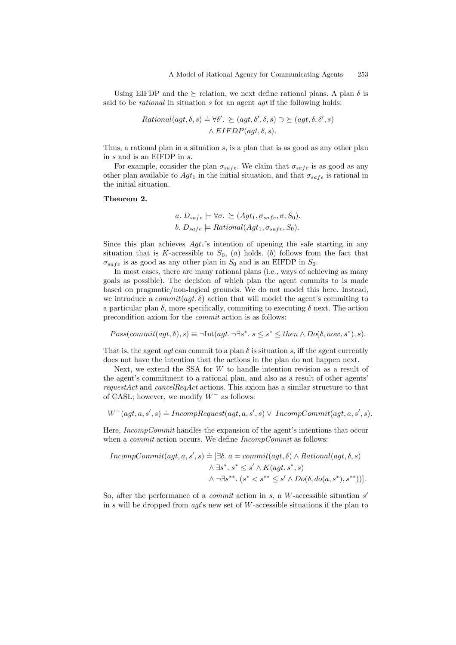Using EIFDP and the  $\succeq$  relation, we next define rational plans. A plan  $\delta$  is said to be *rational* in situation *s* for an agent *agt* if the following holds:

$$
Rational(agt, \delta, s) \doteq \forall \delta'. \ge (agt, \delta', \delta, s) \supset \ge (agt, \delta, \delta', s)
$$

$$
\wedge EIFDP(agt, \delta, s).
$$

Thus, a rational plan in a situation *s*, is a plan that is as good as any other plan in *s* and is an EIFDP in *s*.

For example, consider the plan  $\sigma_{safe}$ . We claim that  $\sigma_{safe}$  is as good as any other plan available to  $Agt_1$  in the initial situation, and that  $\sigma_{safe}$  is rational in the initial situation.

## **Theorem 2.**

a. 
$$
D_{safe} \models \forall \sigma. \ge (Agt_1, \sigma_{safe}, \sigma, S_0).
$$
  
b.  $D_{safe} \models Rational(Agt_1, \sigma_{safe}, S_0).$ 

Since this plan achieves *Agt*1's intention of opening the safe starting in any situation that is  $K$ -accessible to  $S_0$ ,  $(a)$  holds.  $(b)$  follows from the fact that  $\sigma_{safe}$  is as good as any other plan in  $S_0$  and is an EIFDP in  $S_0$ .

In most cases, there are many rational plans (i.e., ways of achieving as many goals as possible). The decision of which plan the agent commits to is made based on pragmatic/non-logical grounds. We do not model this here. Instead, we introduce a  $commit(agt, \delta)$  action that will model the agent's commiting to a particular plan  $\delta$ , more specifically, commiting to executing  $\delta$  next. The action precondition axiom for the *commit* action is as follows:

$$
Poss(commit(agt, \delta), s) \equiv \neg Int(agt, \neg \exists s^*. s \leq s^* \leq then \land Do(\delta, now, s^*), s).
$$

That is, the agent  $agt$  can commit to a plan  $\delta$  is situation  $s$ , iff the agent currently does not have the intention that the actions in the plan do not happen next.

Next, we extend the SSA for *W* to handle intention revision as a result of the agent's commitment to a rational plan, and also as a result of other agents' *requestAct* and *cancelReqAct* actions. This axiom has a similar structure to that of CASL; however, we modify *W*<sup>−</sup> as follows:

$$
W^-(agt, a, s', s) \doteq IncompRequest(agt, a, s', s) \lor IncompCommit (agt, a, s', s).
$$

Here, *IncompCommit* handles the expansion of the agent's intentions that occur when a *commit* action occurs. We define *IncompCommit* as follows:

$$
IncompCommit(agt, a, s', s) \doteq [\exists \delta. a = commit(agt, \delta) \land Rational(agt, \delta, s) \land \exists s^*. s^* \le s' \land K(agt, s^*, s) \land \neg \exists s^{**}. (s^* < s^{**} \le s' \land Do(\delta, do(a, s^*), s^{**}))].
$$

So, after the performance of a *commit* action in *s*, a *W*-accessible situation *s* in *s* will be dropped from *agt*'s new set of *W*-accessible situations if the plan to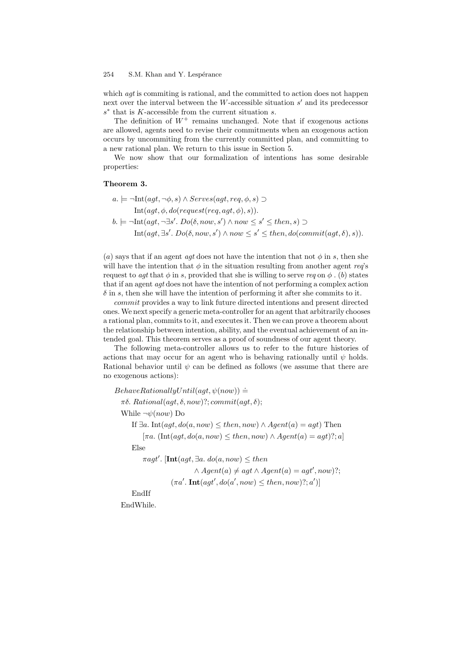which *agt* is commiting is rational, and the committed to action does not happen next over the interval between the *W*-accessible situation *s*<sup>'</sup> and its predecessor *s*<sup>∗</sup> that is *K*-accessible from the current situation *s*.

The definition of  $W^+$  remains unchanged. Note that if exogenous actions are allowed, agents need to revise their commitments when an exogenous action occurs by uncommiting from the currently committed plan, and committing to a new rational plan. We return to this issue in Section 5.

We now show that our formalization of intentions has some desirable properties:

#### **Theorem 3.**

$$
a. \models \neg Int(agt, \neg \phi, s) \land Serves(agt, req, \phi, s) \supset
$$
  
\n
$$
Int(agt, \phi, do(request(req,agt, \phi), s)).
$$
  
\n
$$
b. \models \neg Int(agt, \neg \exists s'. Do(\delta, now, s') \land now \le s' \le then, s) \supset
$$
  
\n
$$
Int(agt, \exists s'. Do(\delta, now, s') \land now \le s' \le then, do(commit(agt, \delta), s)).
$$

(*a*) says that if an agent *agt* does not have the intention that not  $\phi$  in *s*, then she will have the intention that  $\phi$  in the situation resulting from another agent *req*'s request to *agt* that  $\phi$  in *s*, provided that she is willing to serve *req* on  $\phi$ . (*b*) states that if an agent *agt* does not have the intention of not performing a complex action  $\delta$  in *s*, then she will have the intention of performing it after she commits to it.

*commit* provides a way to link future directed intentions and present directed ones. We next specify a generic meta-controller for an agent that arbitrarily chooses a rational plan, commits to it, and executes it. Then we can prove a theorem about the relationship between intention, ability, and the eventual achievement of an intended goal. This theorem serves as a proof of soundness of our agent theory.

The following meta-controller allows us to refer to the future histories of actions that may occur for an agent who is behaving rationally until  $\psi$  holds. Rational behavior until  $\psi$  can be defined as follows (we assume that there are no exogenous actions):

 $BehaveRationallyUntil(agt, \psi(now))$   $\doteq$ *πδ. Rational*(*agt, δ, now*)?; *commit*(*agt, δ*); While ¬*ψ*(*now*) Do If ∃*a.* Int(*agt, do*(*a, now*) ≤ *then, now*) ∧ *Agent*(*a*) = *agt*) Then  $[\pi a. (\text{Int}(agt, do(a, now) \leq then, now) \wedge Agent(a) = agt)?; a]$ Else

 $\pi$ *agt'*. [**Int**(*agt*,  $\exists a$ *. do*(*a, now*)  $\leq$  *then* 

$$
\wedge Agent(a) \neq agt \wedge Agent(a) = agt', now)?;
$$
  

$$
(\pi a'. \mathbf{Int}(agt', do(a', now) \leq then, now)?; a')]
$$

EndIf

EndWhile*.*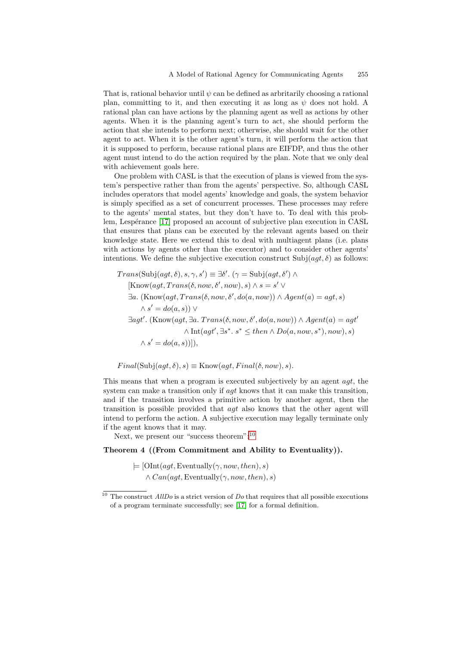That is, rational behavior until  $\psi$  can be defined as arbritarily choosing a rational plan, committing to it, and then executing it as long as  $\psi$  does not hold. A rational plan can have actions by the planning agent as well as actions by other agents. When it is the planning agent's turn to act, she should perform the action that she intends to perform next; otherwise, she should wait for the other agent to act. When it is the other agent's turn, it will perform the action that it is supposed to perform, because rational plans are EIFDP, and thus the other agent must intend to do the action required by the plan. Note that we only deal with achievement goals here.

One problem with CASL is that the execution of plans is viewed from the system's perspective rather than from the agents' perspective. So, although CASL includes operators that model agents' knowledge and goals, the system behavior is simply specified as a set of concurrent processes. These processes may refere to the agents' mental states, but they don't have to. To deal with this prob-lem, Lespérance [\[17\]](#page-17-0) proposed an account of subjective plan execution in CASL that ensures that plans can be executed by the relevant agents based on their knowledge state. Here we extend this to deal with multiagent plans (i.e. plans with actions by agents other than the executor) and to consider other agents' intentions. We define the subjective execution construct  $\text{Subj}(agt, \delta)$  as follows:

 $Trans(Subj(agt, \delta), s, \gamma, s') \equiv \exists \delta'. (\gamma = Subj(agt, \delta') \land s')$  $[\text{Know}(agt, Trans(\delta, now, \delta', now), s) \wedge s = s' \vee$  $\exists a. \ (\text{Know}(agt, Trans(\delta, now, \delta', do(a, now)) \land Agent(a) = agt, s)$  $\wedge s' = do(a, s)) \vee$ ∃*agt*- *.* (Know(*agt,* ∃*a. T rans*(*δ, now, δ*- *, do*(*a, now*)) ∧ *Agent*(*a*) = *agt*-  $\land$  Int(*agt'*,  $\exists s^*$ *.*  $s^* \leq$  *then*  $\land$  *Do*(*a, now, s*<sup>\*</sup>)*, now*)*, s*)  $\wedge s' = do(a, s))$ ,

 $Final(\text{Subj}(agt, \delta), s) \equiv \text{Know}(agt, Final(\delta, now), s).$ 

This means that when a program is executed subjectively by an agent *agt*, the system can make a transition only if *agt* knows that it can make this transition, and if the transition involves a primitive action by another agent, then the transition is possible provided that *agt* also knows that the other agent will intend to perform the action. A subjective execution may legally terminate only if the agent knows that it may.

Next, we present our "success theorem":<sup>10</sup>

## **Theorem 4 ((From Commitment and Ability to Eventuality)).**

 $=$  [OInt(*agt*, Eventually( $\gamma$ *, now, then*)*, s*) ∧ *Can*(*agt,*Eventually(*γ, now, then*)*, s*)

<sup>&</sup>lt;sup>10</sup> The construct  $AllDo$  is a strict version of  $Do$  that requires that all possible executions of a program terminate successfully; see [\[17\]](#page-17-0) for a formal definition.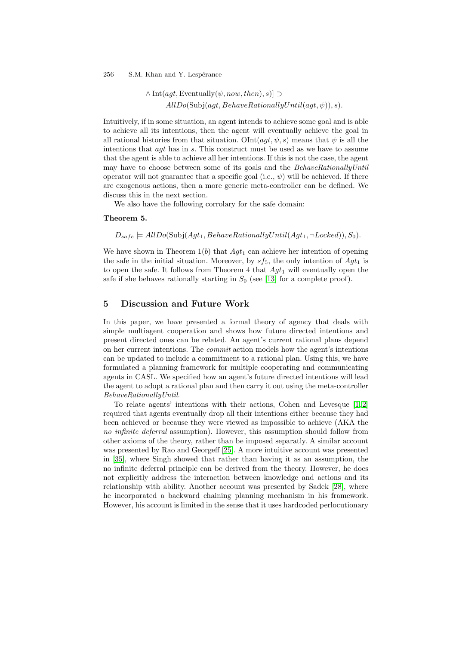∧ Int(*agt,*Eventually(*ψ, now, then*)*, s*)] ⊃  $AllDo(Subi(aqt, Behavior, RelativeRationallyUntil(aqt, \psi)), s)$ .

Intuitively, if in some situation, an agent intends to achieve some goal and is able to achieve all its intentions, then the agent will eventually achieve the goal in all rational histories from that situation. OInt $(aqt, \psi, s)$  means that  $\psi$  is all the intentions that *agt* has in *s*. This construct must be used as we have to assume that the agent is able to achieve all her intentions. If this is not the case, the agent may have to choose between some of its goals and the *BehaveRationallyUntil* operator will not guarantee that a specific goal (i.e.,  $\psi$ ) will be achieved. If there are exogenous actions, then a more generic meta-controller can be defined. We discuss this in the next section.

We also have the following corrolary for the safe domain:

#### **Theorem 5.**

 $D_{safe} \models AllDo(\text{Subj}(Agt_1, \text{BehaviorallyUntil}(Agt_1, \neg \text{Locked})), S_0).$ 

We have shown in Theorem  $1(b)$  that  $Agt<sub>1</sub>$  can achieve her intention of opening the safe in the initial situation. Moreover, by  $s f_5$ , the only intention of  $A g t_1$  is to open the safe. It follows from Theorem 4 that  $Agt_1$  will eventually open the safe if she behaves rationally starting in  $S_0$  (see [\[13\]](#page-16-0) for a complete proof).

## **5 Discussion and Future Work**

In this paper, we have presented a formal theory of agency that deals with simple multiagent cooperation and shows how future directed intentions and present directed ones can be related. An agent's current rational plans depend on her current intentions. The *commit* action models how the agent's intentions can be updated to include a commitment to a rational plan. Using this, we have formulated a planning framework for multiple cooperating and communicating agents in CASL. We specified how an agent's future directed intentions will lead the agent to adopt a rational plan and then carry it out using the meta-controller *BehaveRationallyUntil*.

To relate agents' intentions with their actions, Cohen and Levesque [\[1, 2\]](#page-16-0) required that agents eventually drop all their intentions either because they had been achieved or because they were viewed as impossible to achieve (AKA the *no infinite deferral* assumption). However, this assumption should follow from other axioms of the theory, rather than be imposed separatly. A similar account was presented by Rao and Georgeff [\[25\]](#page-17-0). A more intuitive account was presented in [\[35\]](#page-17-0), where Singh showed that rather than having it as an assumption, the no infinite deferral principle can be derived from the theory. However, he does not explicitly address the interaction between knowledge and actions and its relationship with ability. Another account was presented by Sadek [\[28\]](#page-17-0), where he incorporated a backward chaining planning mechanism in his framework. However, his account is limited in the sense that it uses hardcoded perlocutionary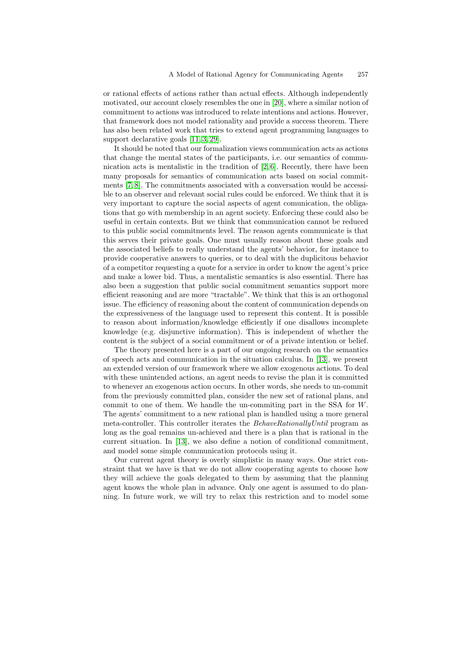or rational effects of actions rather than actual effects. Although independently motivated, our account closely resembles the one in [\[20\]](#page-17-0), where a similar notion of commitment to actions was introduced to relate intentions and actions. However, that framework does not model rationality and provide a success theorem. There has also been related work that tries to extend agent programming languages to support declarative goals [\[11, 3,](#page-16-0) [29\]](#page-17-0).

It should be noted that our formalization views communication acts as actions that change the mental states of the participants, i.e. our semantics of communication acts is mentalistic in the tradition of  $[2, 6]$ . Recently, there have been many proposals for semantics of communication acts based on social commitments [\[7, 8\]](#page-16-0). The commitments associated with a conversation would be accessible to an observer and relevant social rules could be enforced. We think that it is very important to capture the social aspects of agent comunication, the obligations that go with membership in an agent society. Enforcing these could also be useful in certain contexts. But we think that communication cannot be reduced to this public social commitments level. The reason agents communicate is that this serves their private goals. One must usually reason about these goals and the associated beliefs to really understand the agents' behavior, for instance to provide cooperative answers to queries, or to deal with the duplicitous behavior of a competitor requesting a quote for a service in order to know the agent's price and make a lower bid. Thus, a mentalistic semantics is also essential. There has also been a suggestion that public social commitment semantics support more efficient reasoning and are more "tractable". We think that this is an orthogonal issue. The efficiency of reasoning about the content of communication depends on the expressiveness of the language used to represent this content. It is possible to reason about information/knowledge efficiently if one disallows incomplete knowledge (e.g. disjunctive information). This is independent of whether the content is the subject of a social commitment or of a private intention or belief.

The theory presented here is a part of our ongoing research on the semantics of speech acts and communication in the situation calculus. In [\[13\]](#page-16-0), we present an extended version of our framework where we allow exogenous actions. To deal with these unintended actions, an agent needs to revise the plan it is committed to whenever an exogenous action occurs. In other words, she needs to un-commit from the previously committed plan, consider the new set of rational plans, and commit to one of them. We handle the un-commiting part in the SSA for *W*. The agents' commitment to a new rational plan is handled using a more general meta-controller. This controller iterates the *BehaveRationallyUntil* program as long as the goal remains un-achieved and there is a plan that is rational in the current situation. In [\[13\]](#page-16-0), we also define a notion of conditional commitment, and model some simple communication protocols using it.

Our current agent theory is overly simplistic in many ways. One strict constraint that we have is that we do not allow cooperating agents to choose how they will achieve the goals delegated to them by assuming that the planning agent knows the whole plan in advance. Only one agent is assumed to do planning. In future work, we will try to relax this restriction and to model some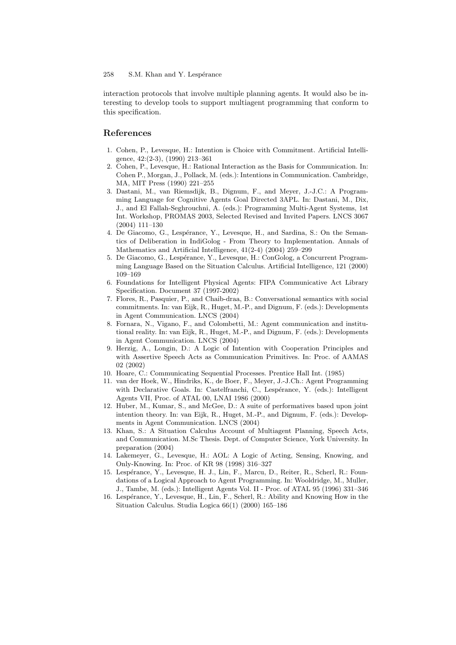<span id="page-16-0"></span>interaction protocols that involve multiple planning agents. It would also be interesting to develop tools to support multiagent programming that conform to this specification.

## **References**

- 1. Cohen, P., Levesque, H.: Intention is Choice with Commitment. Artificial Intelligence, 42:(2-3), (1990) 213–361
- 2. Cohen, P., Levesque, H.: Rational Interaction as the Basis for Communication. In: Cohen P., Morgan, J., Pollack, M. (eds.): Intentions in Communication. Cambridge, MA, MIT Press (1990) 221–255
- 3. Dastani, M., van Riemsdijk, B., Dignum, F., and Meyer, J.-J.C.: A Programming Language for Cognitive Agents Goal Directed 3APL. In: Dastani, M., Dix, J., and El Fallah-Seghrouchni, A. (eds.): Programming Multi-Agent Systems, 1st Int. Workshop, PROMAS 2003, Selected Revised and Invited Papers. LNCS 3067 (2004) 111–130
- 4. De Giacomo, G., Lespérance, Y., Levesque, H., and Sardina, S.: On the Semantics of Deliberation in IndiGolog - From Theory to Implementation. Annals of Mathematics and Artificial Intelligence, 41(2-4) (2004) 259–299
- 5. De Giacomo, G., Lespérance, Y., Levesque, H.: ConGolog, a Concurrent Programming Language Based on the Situation Calculus. Artificial Intelligence, 121 (2000) 109–169
- 6. Foundations for Intelligent Physical Agents: FIPA Communicative Act Library Specification. Document 37 (1997-2002)
- 7. Flores, R., Pasquier, P., and Chaib-draa, B.: Conversational semantics with social commitments. In: van Eijk, R., Huget, M.-P., and Dignum, F. (eds.): Developments in Agent Communication. LNCS (2004)
- 8. Fornara, N., Vigano, F., and Colombetti, M.: Agent communication and institutional reality. In: van Eijk, R., Huget, M.-P., and Dignum, F. (eds.): Developments in Agent Communication. LNCS (2004)
- 9. Herzig, A., Longin, D.: A Logic of Intention with Cooperation Principles and with Assertive Speech Acts as Communication Primitives. In: Proc. of AAMAS 02 (2002)
- 10. Hoare, C.: Communicating Sequential Processes. Prentice Hall Int. (1985)
- 11. van der Hoek, W., Hindriks, K., de Boer, F., Meyer, J.-J.Ch.: Agent Programming with Declarative Goals. In: Castelfranchi, C., Lespérance, Y. (eds.): Intelligent Agents VII, Proc. of ATAL 00, LNAI 1986 (2000)
- 12. Huber, M., Kumar, S., and McGee, D.: A suite of performatives based upon joint intention theory. In: van Eijk, R., Huget, M.-P., and Dignum, F. (eds.): Developments in Agent Communication. LNCS (2004)
- 13. Khan, S.: A Situation Calculus Account of Multiagent Planning, Speech Acts, and Communication. M.Sc Thesis. Dept. of Computer Science, York University. In preparation (2004)
- 14. Lakemeyer, G., Levesque, H.: AOL: A Logic of Acting, Sensing, Knowing, and Only-Knowing. In: Proc. of KR 98 (1998) 316–327
- 15. Lespérance, Y., Levesque, H. J., Lin, F., Marcu, D., Reiter, R., Scherl, R.: Foundations of a Logical Approach to Agent Programming. In: Wooldridge, M., Muller, J., Tambe, M. (eds.): Intelligent Agents Vol. II - Proc. of ATAL 95 (1996) 331–346
- 16. Lespérance, Y., Levesque, H., Lin, F., Scherl, R.: Ability and Knowing How in the Situation Calculus. Studia Logica 66(1) (2000) 165–186